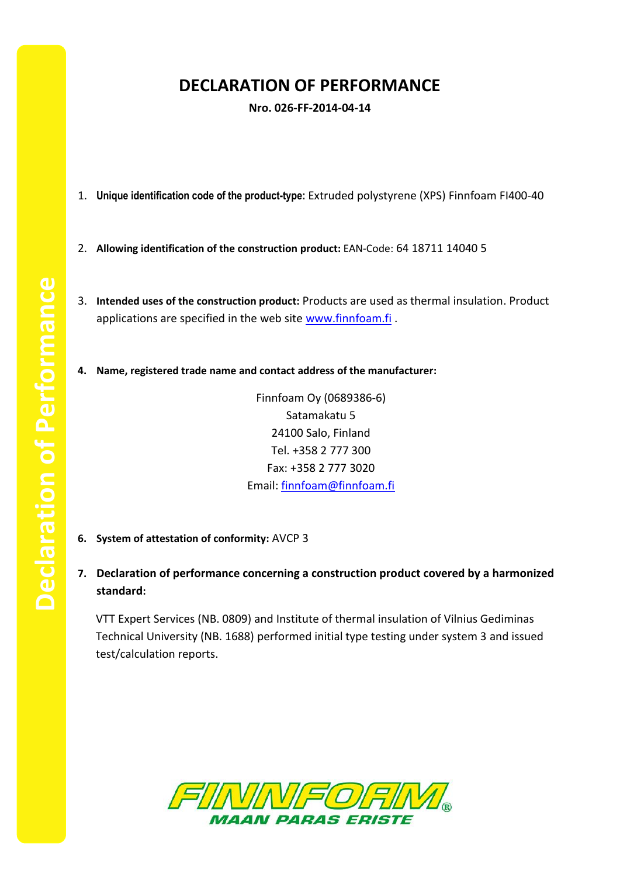## **DECLARATION OF PERFORMANCE**

**Nro. 026-FF-2014-04-14**

- 1. **Unique identification code of the product-type:** Extruded polystyrene (XPS) Finnfoam FI400-40
- 2. **Allowing identification of the construction product:** EAN-Code: 64 18711 14040 5
- 3. **Intended uses of the construction product:** Products are used as thermal insulation. Product applications are specified in the web site [www.finnfoam.fi](http://www.finnfoam.fi/).
- **4. Name, registered trade name and contact address of the manufacturer:**

Finnfoam Oy (0689386-6) Satamakatu 5 24100 Salo, Finland Tel. +358 2 777 300 Fax: +358 2 777 3020 Email: [finnfoam@finnfoam.fi](mailto:finnfoam@finnfoam.fi)

- **6. System of attestation of conformity:** AVCP 3
- **7. Declaration of performance concerning a construction product covered by a harmonized standard:**

VTT Expert Services (NB. 0809) and Institute of thermal insulation of Vilnius Gediminas Technical University (NB. 1688) performed initial type testing under system 3 and issued test/calculation reports.